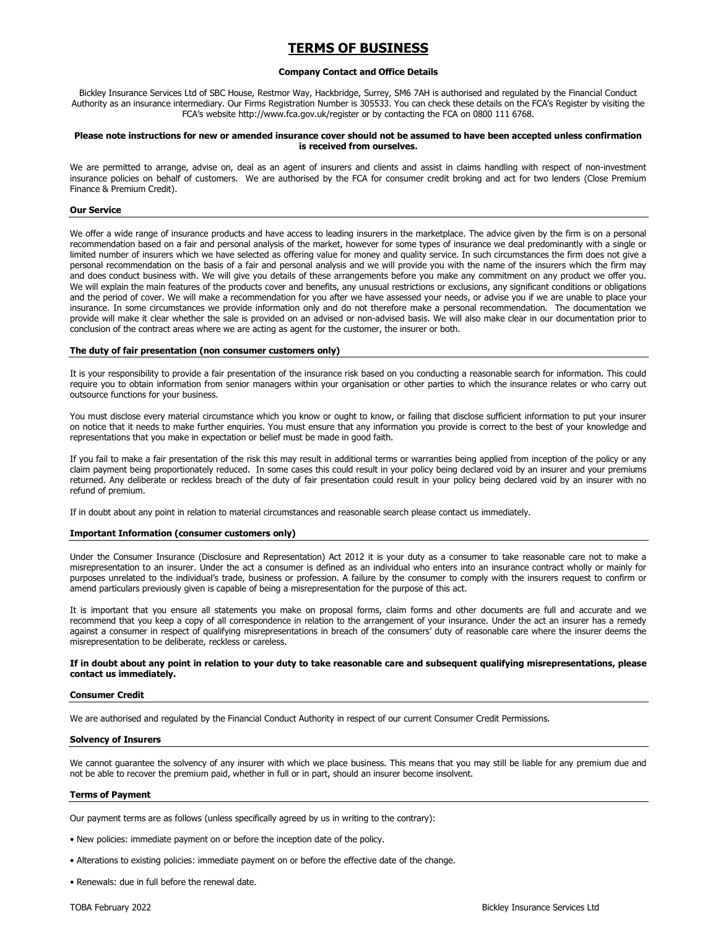# TERMS OF BUSINESS

## Company Contact and Office Details

Bickley Insurance Services Ltd of SBC House, Restmor Way, Hackbridge, Surrey, SM6 7AH is authorised and regulated by the Financial Conduct Authority as an insurance intermediary. Our Firms Registration Number is 305533. You can check these details on the FCA's Register by visiting the FCA's website http://www.fca.gov.uk/register or by contacting the FCA on 0800 111 6768.

## Please note instructions for new or amended insurance cover should not be assumed to have been accepted unless confirmation is received from ourselves.

We are permitted to arrange, advise on, deal as an agent of insurers and clients and assist in claims handling with respect of non-investment insurance policies on behalf of customers. We are authorised by the FCA for consumer credit broking and act for two lenders (Close Premium Finance & Premium Credit).

## Our Service

We offer a wide range of insurance products and have access to leading insurers in the marketplace. The advice given by the firm is on a personal recommendation based on a fair and personal analysis of the market, however for some types of insurance we deal predominantly with a single or limited number of insurers which we have selected as offering value for money and quality service. In such circumstances the firm does not give a personal recommendation on the basis of a fair and personal analysis and we will provide you with the name of the insurers which the firm may and does conduct business with. We will give you details of these arrangements before you make any commitment on any product we offer you. We will explain the main features of the products cover and benefits, any unusual restrictions or exclusions, any significant conditions or obligations and the period of cover. We will make a recommendation for you after we have assessed your needs, or advise you if we are unable to place your insurance. In some circumstances we provide information only and do not therefore make a personal recommendation. The documentation we provide will make it clear whether the sale is provided on an advised or non-advised basis. We will also make clear in our documentation prior to conclusion of the contract areas where we are acting as agent for the customer, the insurer or both.

## The duty of fair presentation (non consumer customers only)

It is your responsibility to provide a fair presentation of the insurance risk based on you conducting a reasonable search for information. This could require you to obtain information from senior managers within your organisation or other parties to which the insurance relates or who carry out outsource functions for your business.

You must disclose every material circumstance which you know or ought to know, or failing that disclose sufficient information to put your insurer on notice that it needs to make further enquiries. You must ensure that any information you provide is correct to the best of your knowledge and representations that you make in expectation or belief must be made in good faith.

If you fail to make a fair presentation of the risk this may result in additional terms or warranties being applied from inception of the policy or any claim payment being proportionately reduced. In some cases this could result in your policy being declared void by an insurer and your premiums returned. Any deliberate or reckless breach of the duty of fair presentation could result in your policy being declared void by an insurer with no refund of premium.

If in doubt about any point in relation to material circumstances and reasonable search please contact us immediately.

## Important Information (consumer customers only)

Under the Consumer Insurance (Disclosure and Representation) Act 2012 it is your duty as a consumer to take reasonable care not to make a misrepresentation to an insurer. Under the act a consumer is defined as an individual who enters into an insurance contract wholly or mainly for purposes unrelated to the individual's trade, business or profession. A failure by the consumer to comply with the insurers request to confirm or amend particulars previously given is capable of being a misrepresentation for the purpose of this act.

It is important that you ensure all statements you make on proposal forms, claim forms and other documents are full and accurate and we recommend that you keep a copy of all correspondence in relation to the arrangement of your insurance. Under the act an insurer has a remedy against a consumer in respect of qualifying misrepresentations in breach of the consumers' duty of reasonable care where the insurer deems the misrepresentation to be deliberate, reckless or careless.

## If in doubt about any point in relation to your duty to take reasonable care and subsequent qualifying misrepresentations, please contact us immediately.

#### Consumer Credit

We are authorised and regulated by the Financial Conduct Authority in respect of our current Consumer Credit Permissions.

## Solvency of Insurers

We cannot guarantee the solvency of any insurer with which we place business. This means that you may still be liable for any premium due and not be able to recover the premium paid, whether in full or in part, should an insurer become insolvent.

#### Terms of Payment

Our payment terms are as follows (unless specifically agreed by us in writing to the contrary):

- New policies: immediate payment on or before the inception date of the policy.
- Alterations to existing policies: immediate payment on or before the effective date of the change.
- Renewals: due in full before the renewal date.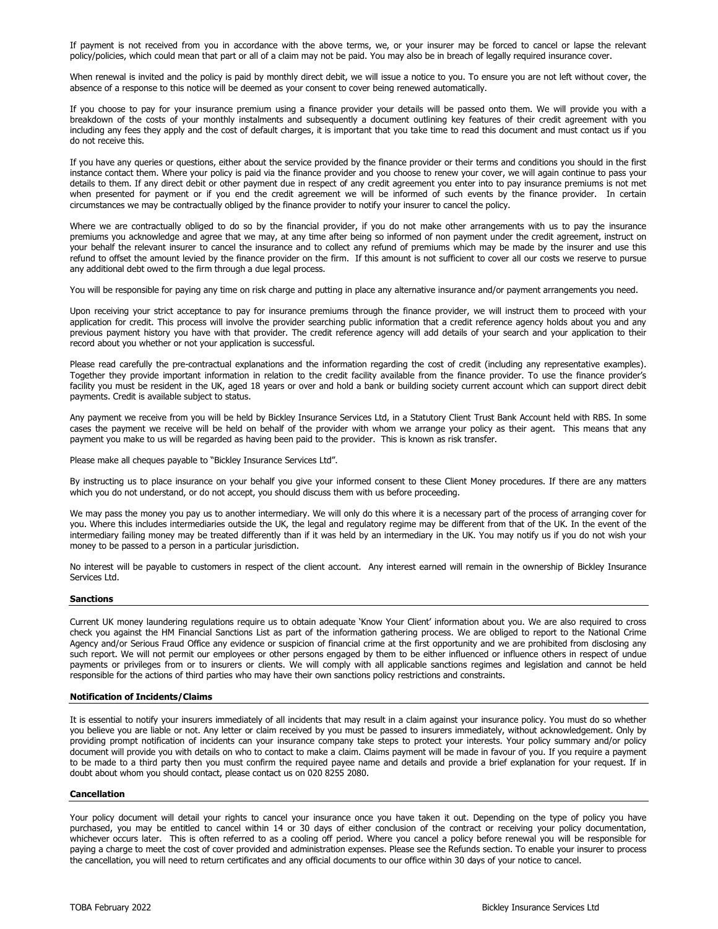If payment is not received from you in accordance with the above terms, we, or your insurer may be forced to cancel or lapse the relevant policy/policies, which could mean that part or all of a claim may not be paid. You may also be in breach of legally required insurance cover.

When renewal is invited and the policy is paid by monthly direct debit, we will issue a notice to you. To ensure you are not left without cover, the absence of a response to this notice will be deemed as your consent to cover being renewed automatically.

If you choose to pay for your insurance premium using a finance provider your details will be passed onto them. We will provide you with a breakdown of the costs of your monthly instalments and subsequently a document outlining key features of their credit agreement with you including any fees they apply and the cost of default charges, it is important that you take time to read this document and must contact us if you do not receive this.

If you have any queries or questions, either about the service provided by the finance provider or their terms and conditions you should in the first instance contact them. Where your policy is paid via the finance provider and you choose to renew your cover, we will again continue to pass your details to them. If any direct debit or other payment due in respect of any credit agreement you enter into to pay insurance premiums is not met when presented for payment or if you end the credit agreement we will be informed of such events by the finance provider. In certain circumstances we may be contractually obliged by the finance provider to notify your insurer to cancel the policy.

Where we are contractually obliged to do so by the financial provider, if you do not make other arrangements with us to pay the insurance premiums you acknowledge and agree that we may, at any time after being so informed of non payment under the credit agreement, instruct on your behalf the relevant insurer to cancel the insurance and to collect any refund of premiums which may be made by the insurer and use this refund to offset the amount levied by the finance provider on the firm. If this amount is not sufficient to cover all our costs we reserve to pursue any additional debt owed to the firm through a due legal process.

You will be responsible for paying any time on risk charge and putting in place any alternative insurance and/or payment arrangements you need.

Upon receiving your strict acceptance to pay for insurance premiums through the finance provider, we will instruct them to proceed with your application for credit. This process will involve the provider searching public information that a credit reference agency holds about you and any previous payment history you have with that provider. The credit reference agency will add details of your search and your application to their record about you whether or not your application is successful.

Please read carefully the pre-contractual explanations and the information regarding the cost of credit (including any representative examples). Together they provide important information in relation to the credit facility available from the finance provider. To use the finance provider's facility you must be resident in the UK, aged 18 years or over and hold a bank or building society current account which can support direct debit payments. Credit is available subject to status.

Any payment we receive from you will be held by Bickley Insurance Services Ltd, in a Statutory Client Trust Bank Account held with RBS. In some cases the payment we receive will be held on behalf of the provider with whom we arrange your policy as their agent. This means that any payment you make to us will be regarded as having been paid to the provider. This is known as risk transfer.

Please make all cheques payable to "Bickley Insurance Services Ltd".

By instructing us to place insurance on your behalf you give your informed consent to these Client Money procedures. If there are any matters which you do not understand, or do not accept, you should discuss them with us before proceeding.

We may pass the money you pay us to another intermediary. We will only do this where it is a necessary part of the process of arranging cover for you. Where this includes intermediaries outside the UK, the legal and regulatory regime may be different from that of the UK. In the event of the intermediary failing money may be treated differently than if it was held by an intermediary in the UK. You may notify us if you do not wish your money to be passed to a person in a particular jurisdiction.

No interest will be payable to customers in respect of the client account. Any interest earned will remain in the ownership of Bickley Insurance Services Ltd.

# Sanctions

Current UK money laundering regulations require us to obtain adequate 'Know Your Client' information about you. We are also required to cross check you against the HM Financial Sanctions List as part of the information gathering process. We are obliged to report to the National Crime Agency and/or Serious Fraud Office any evidence or suspicion of financial crime at the first opportunity and we are prohibited from disclosing any such report. We will not permit our employees or other persons engaged by them to be either influenced or influence others in respect of undue payments or privileges from or to insurers or clients. We will comply with all applicable sanctions regimes and legislation and cannot be held responsible for the actions of third parties who may have their own sanctions policy restrictions and constraints.

## Notification of Incidents/Claims

It is essential to notify your insurers immediately of all incidents that may result in a claim against your insurance policy. You must do so whether you believe you are liable or not. Any letter or claim received by you must be passed to insurers immediately, without acknowledgement. Only by providing prompt notification of incidents can your insurance company take steps to protect your interests. Your policy summary and/or policy document will provide you with details on who to contact to make a claim. Claims payment will be made in favour of you. If you require a payment to be made to a third party then you must confirm the required payee name and details and provide a brief explanation for your request. If in doubt about whom you should contact, please contact us on 020 8255 2080.

#### Cancellation

Your policy document will detail your rights to cancel your insurance once you have taken it out. Depending on the type of policy you have purchased, you may be entitled to cancel within 14 or 30 days of either conclusion of the contract or receiving your policy documentation, whichever occurs later. This is often referred to as a cooling off period. Where you cancel a policy before renewal you will be responsible for paying a charge to meet the cost of cover provided and administration expenses. Please see the Refunds section. To enable your insurer to process the cancellation, you will need to return certificates and any official documents to our office within 30 days of your notice to cancel.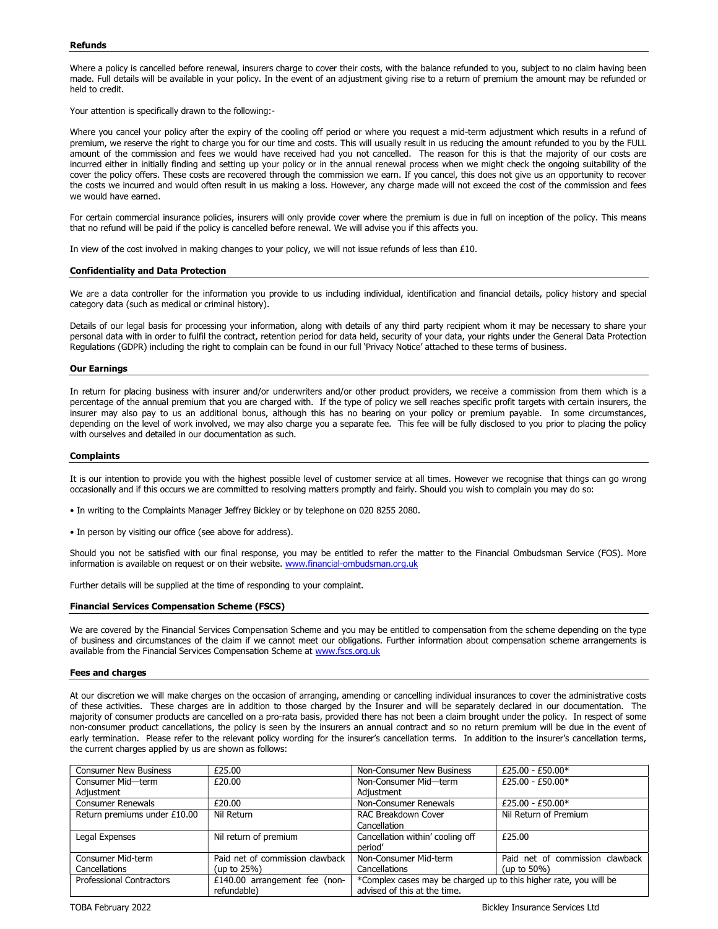Where a policy is cancelled before renewal, insurers charge to cover their costs, with the balance refunded to you, subject to no claim having been made. Full details will be available in your policy. In the event of an adjustment giving rise to a return of premium the amount may be refunded or held to credit.

Your attention is specifically drawn to the following:-

Where you cancel your policy after the expiry of the cooling off period or where you request a mid-term adjustment which results in a refund of premium, we reserve the right to charge you for our time and costs. This will usually result in us reducing the amount refunded to you by the FULL amount of the commission and fees we would have received had you not cancelled. The reason for this is that the majority of our costs are incurred either in initially finding and setting up your policy or in the annual renewal process when we might check the ongoing suitability of the cover the policy offers. These costs are recovered through the commission we earn. If you cancel, this does not give us an opportunity to recover the costs we incurred and would often result in us making a loss. However, any charge made will not exceed the cost of the commission and fees we would have earned.

For certain commercial insurance policies, insurers will only provide cover where the premium is due in full on inception of the policy. This means that no refund will be paid if the policy is cancelled before renewal. We will advise you if this affects you.

In view of the cost involved in making changes to your policy, we will not issue refunds of less than £10.

## Confidentiality and Data Protection

We are a data controller for the information you provide to us including individual, identification and financial details, policy history and special category data (such as medical or criminal history).

Details of our legal basis for processing your information, along with details of any third party recipient whom it may be necessary to share your personal data with in order to fulfil the contract, retention period for data held, security of your data, your rights under the General Data Protection Regulations (GDPR) including the right to complain can be found in our full 'Privacy Notice' attached to these terms of business.

### Our Earnings

In return for placing business with insurer and/or underwriters and/or other product providers, we receive a commission from them which is a percentage of the annual premium that you are charged with. If the type of policy we sell reaches specific profit targets with certain insurers, the insurer may also pay to us an additional bonus, although this has no bearing on your policy or premium payable. In some circumstances, depending on the level of work involved, we may also charge you a separate fee. This fee will be fully disclosed to you prior to placing the policy with ourselves and detailed in our documentation as such.

## **Complaints**

It is our intention to provide you with the highest possible level of customer service at all times. However we recognise that things can go wrong occasionally and if this occurs we are committed to resolving matters promptly and fairly. Should you wish to complain you may do so:

• In writing to the Complaints Manager Jeffrey Bickley or by telephone on 020 8255 2080.

• In person by visiting our office (see above for address).

Should you not be satisfied with our final response, you may be entitled to refer the matter to the Financial Ombudsman Service (FOS). More information is available on request or on their website. www.financial-ombudsman.org.uk

Further details will be supplied at the time of responding to your complaint.

## Financial Services Compensation Scheme (FSCS)

We are covered by the Financial Services Compensation Scheme and you may be entitled to compensation from the scheme depending on the type of business and circumstances of the claim if we cannot meet our obligations. Further information about compensation scheme arrangements is available from the Financial Services Compensation Scheme at www.fscs.org.uk

## Fees and charges

At our discretion we will make charges on the occasion of arranging, amending or cancelling individual insurances to cover the administrative costs of these activities. These charges are in addition to those charged by the Insurer and will be separately declared in our documentation. The majority of consumer products are cancelled on a pro-rata basis, provided there has not been a claim brought under the policy. In respect of some non-consumer product cancellations, the policy is seen by the insurers an annual contract and so no return premium will be due in the event of early termination. Please refer to the relevant policy wording for the insurer's cancellation terms. In addition to the insurer's cancellation terms, the current charges applied by us are shown as follows:

| <b>Consumer New Business</b>    | £25.00                          | Non-Consumer New Business                                         | £25.00 - £50.00*                |
|---------------------------------|---------------------------------|-------------------------------------------------------------------|---------------------------------|
| Consumer Mid-term               | £20.00                          | Non-Consumer Mid-term                                             | $£25.00 - £50.00*$              |
| Adjustment                      |                                 | Adiustment                                                        |                                 |
| <b>Consumer Renewals</b>        | £20.00                          | Non-Consumer Renewals                                             | £25.00 - £50.00*                |
| Return premiums under £10.00    | Nil Return                      | RAC Breakdown Cover                                               | Nil Return of Premium           |
|                                 |                                 | Cancellation                                                      |                                 |
| Legal Expenses                  | Nil return of premium           | Cancellation within' cooling off                                  | £25.00                          |
|                                 |                                 | period'                                                           |                                 |
| Consumer Mid-term               | Paid net of commission clawback | Non-Consumer Mid-term                                             | Paid net of commission clawback |
| Cancellations                   | (up to $25\%$ )                 | Cancellations                                                     | (up to $50\%$ )                 |
| <b>Professional Contractors</b> | £140.00 arrangement fee (non-   | *Complex cases may be charged up to this higher rate, you will be |                                 |
|                                 | refundable)                     | advised of this at the time.                                      |                                 |